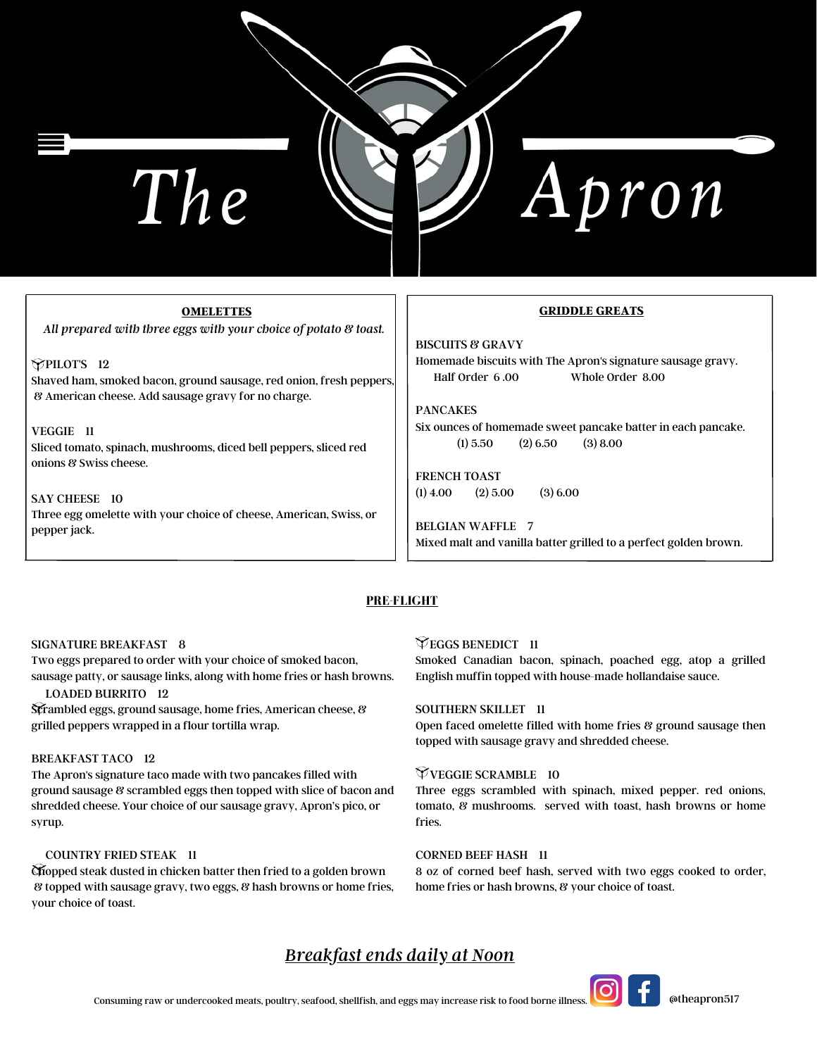# The

Apron

# **OMELETTES**

*All prepared with three eggs with your choice of potato & toast.*

# **PPILOT'S** 12 Shaved ham, smoked bacon, ground sausage, red onion, fresh peppers, & American cheese. Add sausage gravy for no charge.

VEGGIE 11 Sliced tomato, spinach, mushrooms, diced bell peppers, sliced red onions & Swiss cheese.

### SAY CHEESE 10

Three egg omelette with your choice of cheese, American, Swiss, or pepper jack.

## **GRIDDLE GREATS**

BISCUITS & GRAVY Homemade biscuits with The Apron's signature sausage gravy. Half Order 6 .00 Whole Order 8.00

PANCAKES Six ounces of homemade sweet pancake batter in each pancake.  $(1) 5.50$   $(2) 6.50$   $(3) 8.00$ 

FRENCH TOAST  $(1)$  4.00  $(2)$  5.00  $(3)$  6.00

BELGIAN WAFFLE 7 Mixed malt and vanilla batter grilled to a perfect golden brown.

# **PRE-FLIGHT**

# SIGNATURE BREAKFAST 8

Two eggs prepared to order with your choice of smoked bacon, sausage patty, or sausage links, along with home fries or hash browns.

# LOADED BURRITO 12

Scrambled eggs, ground sausage, home fries, American cheese, & grilled peppers wrapped in a flour tortilla wrap.

# BREAKFAST TACO 12

The Apron's signature taco made with two pancakes filled with ground sausage & scrambled eggs then topped with slice of bacon and shredded cheese. Your choice of our sausage gravy, Apron's pico, or syrup.

# COUNTRY FRIED STEAK 11

Chopped steak dusted in chicken batter then fried to a golden brown & topped with sausage gravy, two eggs, & hash browns or home fries, your choice of toast.

# **EGGS BENEDICT** 11

Smoked Canadian bacon, spinach, poached egg, atop a grilled English muffin topped with house-made hollandaise sauce.

# SOUTHERN SKILLET 11

Open faced omelette filled with home fries & ground sausage then topped with sausage gravy and shredded cheese.

# VEGGIE SCRAMBLE 10

Three eggs scrambled with spinach, mixed pepper. red onions, tomato, & mushrooms. served with toast, hash browns or home fries.

# CORNED BEEF HASH 11

8 oz of corned beef hash, served with two eggs cooked to order, home fries or hash browns, & your choice of toast.

# *Breakfast ends daily at Noon*